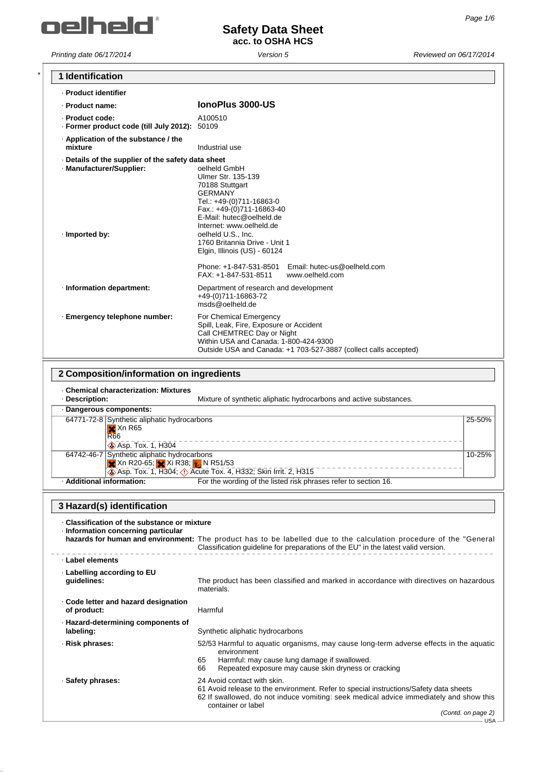

*Printing date 06/17/2014 Version 5 Reviewed on 06/17/2014*

┑

| 1 Identification                                                                                    |                                                                                                                                                                                                                                                                                                                                                                                     |        |
|-----------------------------------------------------------------------------------------------------|-------------------------------------------------------------------------------------------------------------------------------------------------------------------------------------------------------------------------------------------------------------------------------------------------------------------------------------------------------------------------------------|--------|
| - Product identifier                                                                                |                                                                                                                                                                                                                                                                                                                                                                                     |        |
| · Product name:                                                                                     | IonoPlus 3000-US                                                                                                                                                                                                                                                                                                                                                                    |        |
| · Product code:<br>· Former product code (till July 2012): 50109                                    | A100510                                                                                                                                                                                                                                                                                                                                                                             |        |
| · Application of the substance / the<br>mixture                                                     | Industrial use                                                                                                                                                                                                                                                                                                                                                                      |        |
| Details of the supplier of the safety data sheet<br>· Manufacturer/Supplier:<br>· Imported by:      | oelheld GmbH<br>Ulmer Str. 135-139<br>70188 Stuttgart<br><b>GERMANY</b><br>Tel.: +49-(0)711-16863-0<br>Fax.: +49-(0)711-16863-40<br>E-Mail: hutec@oelheld.de<br>Internet: www.oelheld.de<br>oelheld U.S., Inc.<br>1760 Britannia Drive - Unit 1<br>Elgin, Illinois (US) - 60124<br>Phone: +1-847-531-8501<br>Email: hutec-us@oelheld.com<br>www.oelheld.com<br>FAX: +1-847-531-8511 |        |
| · Information department:                                                                           | Department of research and development<br>+49-(0)711-16863-72<br>msds@oelheld.de                                                                                                                                                                                                                                                                                                    |        |
| · Emergency telephone number:                                                                       | For Chemical Emergency<br>Spill, Leak, Fire, Exposure or Accident<br>Call CHEMTREC Day or Night<br>Within USA and Canada: 1-800-424-9300<br>Outside USA and Canada: +1 703-527-3887 (collect calls accepted)                                                                                                                                                                        |        |
| 2 Composition/information on ingredients                                                            |                                                                                                                                                                                                                                                                                                                                                                                     |        |
| <b>Chemical characterization: Mixtures</b><br>· Description:                                        | Mixture of synthetic aliphatic hydrocarbons and active substances.                                                                                                                                                                                                                                                                                                                  |        |
| · Dangerous components:                                                                             |                                                                                                                                                                                                                                                                                                                                                                                     |        |
| 64771-72-8 Synthetic aliphatic hydrocarbons<br>$X$ Xn R65<br><b>R66</b><br><b>Asp. Tox. 1, H304</b> |                                                                                                                                                                                                                                                                                                                                                                                     | 25-50% |
| 64742-46-7 Synthetic aliphatic hydrocarbons                                                         |                                                                                                                                                                                                                                                                                                                                                                                     | 10-25% |

| 64742-46-7 Synthetic aliphatic hydrocarbons |                                                                 |
|---------------------------------------------|-----------------------------------------------------------------|
| <b>X</b> Xn R20-65; X Xi R38; X N R51/53    |                                                                 |
|                                             | Asp. Tox. 1, H304; 1) Acute Tox. 4, H332; Skin Irrit. 2, H315   |
| · Additional information:                   | For the wording of the listed risk phrases refer to section 16. |

### **3 Hazard(s) identification**

| Classification of the substance or mixture<br>Information concerning particular | hazards for human and environment: The product has to be labelled due to the calculation procedure of the "General<br>Classification guideline for preparations of the EU" in the latest valid version.                              |
|---------------------------------------------------------------------------------|--------------------------------------------------------------------------------------------------------------------------------------------------------------------------------------------------------------------------------------|
| ⋅ Label elements                                                                |                                                                                                                                                                                                                                      |
| Labelling according to EU<br>guidelines:                                        | The product has been classified and marked in accordance with directives on hazardous<br>materials.                                                                                                                                  |
| Code letter and hazard designation<br>of product:                               | Harmful                                                                                                                                                                                                                              |
| · Hazard-determining components of<br>labeling:                                 | Synthetic aliphatic hydrocarbons                                                                                                                                                                                                     |
| · Risk phrases:                                                                 | 52/53 Harmful to aguatic organisms, may cause long-term adverse effects in the aguatic<br>environment<br>Harmful: may cause lung damage if swallowed.<br>65<br>66<br>Repeated exposure may cause skin dryness or cracking            |
| · Safety phrases:                                                               | 24 Avoid contact with skin.<br>61 Avoid release to the environment. Refer to special instructions/Safety data sheets<br>62 If swallowed, do not induce vomiting: seek medical advice immediately and show this<br>container or label |
|                                                                                 | (Contd. on page 2)<br>USA-                                                                                                                                                                                                           |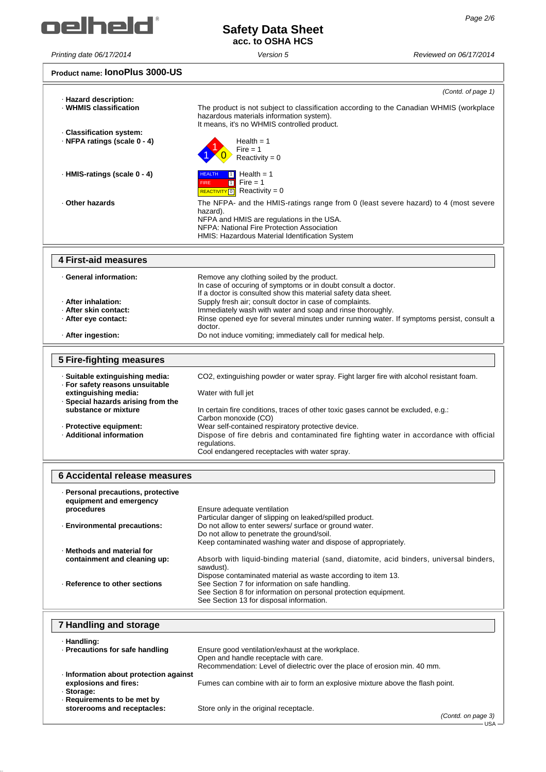

### **Safety Data Sheet acc. to OSHA HCS**

*Printing date 06/17/2014 Version 5 Reviewed on 06/17/2014*

#### **Product name: IonoPlus 3000-US**

|                                                                                    | (Contd. of page 1)                                                                                                                                                                                                                           |
|------------------------------------------------------------------------------------|----------------------------------------------------------------------------------------------------------------------------------------------------------------------------------------------------------------------------------------------|
| · Hazard description:<br>· WHMIS classification                                    | The product is not subject to classification according to the Canadian WHMIS (workplace<br>hazardous materials information system).<br>It means, it's no WHMIS controlled product.                                                           |
| · Classification system:<br>· NFPA ratings (scale 0 - 4)                           | Health $= 1$<br>$Fire = 1$                                                                                                                                                                                                                   |
| · HMIS-ratings (scale 0 - 4)                                                       | Reactivity = $0$<br>Health $= 1$<br><b>HEALTH</b><br>$\blacksquare$                                                                                                                                                                          |
|                                                                                    | Fire = $1$<br>$\overline{1}$<br><b>FIRE</b><br>REACTIVITY 0 Reactivity = 0                                                                                                                                                                   |
| Other hazards                                                                      | The NFPA- and the HMIS-ratings range from 0 (least severe hazard) to 4 (most severe<br>hazard).<br>NFPA and HMIS are regulations in the USA.<br>NFPA: National Fire Protection Association<br>HMIS: Hazardous Material Identification System |
| <b>4 First-aid measures</b>                                                        |                                                                                                                                                                                                                                              |
| - General information:<br>- After inhalation:                                      | Remove any clothing soiled by the product.<br>In case of occuring of symptoms or in doubt consult a doctor.<br>If a doctor is consulted show this material safety data sheet.<br>Supply fresh air; consult doctor in case of complaints.     |
| · After skin contact:<br>· After eye contact:                                      | Immediately wash with water and soap and rinse thoroughly.<br>Rinse opened eye for several minutes under running water. If symptoms persist, consult a                                                                                       |
| · After ingestion:                                                                 | doctor.<br>Do not induce vomiting; immediately call for medical help.                                                                                                                                                                        |
| <b>5 Fire-fighting measures</b>                                                    |                                                                                                                                                                                                                                              |
| · Suitable extinguishing media:<br>· For safety reasons unsuitable                 | CO2, extinguishing powder or water spray. Fight larger fire with alcohol resistant foam.                                                                                                                                                     |
| extinguishing media:<br>· Special hazards arising from the<br>substance or mixture | Water with full jet<br>In certain fire conditions, traces of other toxic gases cannot be excluded, e.g.:                                                                                                                                     |
| · Protective equipment:<br>· Additional information                                | Carbon monoxide (CO)<br>Wear self-contained respiratory protective device.<br>Dispose of fire debris and contaminated fire fighting water in accordance with official<br>regulations.<br>Cool endangered receptacles with water spray.       |
| <b>6 Accidental release measures</b>                                               |                                                                                                                                                                                                                                              |
| · Personal precautions, protective<br>equipment and emergency<br>procedures        | Ensure adequate ventilation                                                                                                                                                                                                                  |
| · Environmental precautions:                                                       | Particular danger of slipping on leaked/spilled product.<br>Do not allow to enter sewers/ surface or ground water.<br>Do not allow to penetrate the ground/soil.<br>Keep contaminated washing water and dispose of appropriately.            |
| · Methods and material for<br>containment and cleaning up:                         | Absorb with liquid-binding material (sand, diatomite, acid binders, universal binders,<br>sawdust).<br>Dispose contaminated material as waste according to item 13.                                                                          |
| · Reference to other sections                                                      | See Section 7 for information on safe handling.<br>See Section 8 for information on personal protection equipment.<br>See Section 13 for disposal information.                                                                               |
| 7 Handling and storage                                                             |                                                                                                                                                                                                                                              |
| · Handling:<br>· Precautions for safe handling                                     | Ensure good ventilation/exhaust at the workplace.<br>Open and handle receptacle with care.                                                                                                                                                   |
| Information about protection against<br>explosions and fires:<br>· Storage:        | Recommendation: Level of dielectric over the place of erosion min. 40 mm.<br>Fumes can combine with air to form an explosive mixture above the flash point.                                                                                  |
| Requirements to be met by<br>storerooms and receptacles:                           | Store only in the original receptacle.<br>(Contd. on page 3)<br>· USA ·                                                                                                                                                                      |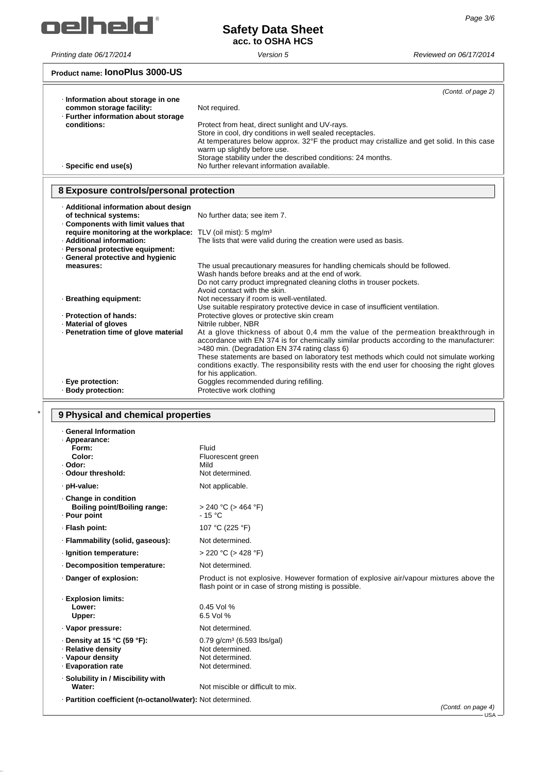

*Printing date 06/17/2014 Version 5 Reviewed on 06/17/2014*

# **Safety Data Sheet acc. to OSHA HCS**

#### **Product name: IonoPlus 3000-US**

| Information about storage in one<br>common storage facility:<br>· Further information about storage | (Contd. of page 2)<br>Not required.                                                                                                                                                                                                                                                                                  |
|-----------------------------------------------------------------------------------------------------|----------------------------------------------------------------------------------------------------------------------------------------------------------------------------------------------------------------------------------------------------------------------------------------------------------------------|
| conditions:                                                                                         | Protect from heat, direct sunlight and UV-rays.<br>Store in cool, dry conditions in well sealed receptacles.<br>At temperatures below approx. $32^{\circ}$ F the product may cristallize and get solid. In this case<br>warm up slightly before use.<br>Storage stability under the described conditions: 24 months. |
| · Specific end use(s)                                                                               | No further relevant information available.                                                                                                                                                                                                                                                                           |

#### **8 Exposure controls/personal protection**

| · Additional information about design                                     |                                                                                                                                                                                                                               |
|---------------------------------------------------------------------------|-------------------------------------------------------------------------------------------------------------------------------------------------------------------------------------------------------------------------------|
| of technical systems:                                                     | No further data; see item 7.                                                                                                                                                                                                  |
| Components with limit values that<br>require monitoring at the workplace: | TLV (oil mist): $5 \text{ mg/m}^3$                                                                                                                                                                                            |
| · Additional information:                                                 | The lists that were valid during the creation were used as basis.                                                                                                                                                             |
| · Personal protective equipment:                                          |                                                                                                                                                                                                                               |
| General protective and hygienic                                           |                                                                                                                                                                                                                               |
| measures:                                                                 | The usual precautionary measures for handling chemicals should be followed.                                                                                                                                                   |
|                                                                           | Wash hands before breaks and at the end of work.                                                                                                                                                                              |
|                                                                           | Do not carry product impregnated cleaning cloths in trouser pockets.                                                                                                                                                          |
|                                                                           | Avoid contact with the skin.                                                                                                                                                                                                  |
| · Breathing equipment:                                                    | Not necessary if room is well-ventilated.                                                                                                                                                                                     |
|                                                                           | Use suitable respiratory protective device in case of insufficient ventilation.                                                                                                                                               |
| · Protection of hands:                                                    | Protective gloves or protective skin cream                                                                                                                                                                                    |
| Material of gloves                                                        | Nitrile rubber, NBR                                                                                                                                                                                                           |
| · Penetration time of glove material                                      | At a glove thickness of about 0,4 mm the value of the permeation breakthrough in<br>accordance with EN 374 is for chemically similar products according to the manufacturer:<br>>480 min. (Degradation EN 374 rating class 6) |
|                                                                           | These statements are based on laboratory test methods which could not simulate working<br>conditions exactly. The responsibility rests with the end user for choosing the right gloves<br>for his application.                |
| · Eye protection:                                                         | Goggles recommended during refilling.                                                                                                                                                                                         |
| · Body protection:                                                        | Protective work clothing                                                                                                                                                                                                      |

# \* **9 Physical and chemical properties**

| <b>General Information</b><br>· Appearance:<br>Form:<br>Color:<br>· Odor:<br>· Odour threshold:   | Fluid<br>Fluorescent green<br>Mild<br>Not determined.                                                                                           |
|---------------------------------------------------------------------------------------------------|-------------------------------------------------------------------------------------------------------------------------------------------------|
| · pH-value:                                                                                       | Not applicable.                                                                                                                                 |
| Change in condition<br>Boiling point/Boiling range:<br>· Pour point                               | $> 240$ °C ( $> 464$ °F)<br>$-15 °C$                                                                                                            |
| · Flash point:                                                                                    | 107 °C (225 °F)                                                                                                                                 |
| · Flammability (solid, gaseous):                                                                  | Not determined.                                                                                                                                 |
| · Ignition temperature:                                                                           | $>$ 220 °C ( $>$ 428 °F)                                                                                                                        |
| Decomposition temperature:                                                                        | Not determined.                                                                                                                                 |
| Danger of explosion:                                                                              | Product is not explosive. However formation of explosive air/vapour mixtures above the<br>flash point or in case of strong misting is possible. |
| <b>Explosion limits:</b><br>Lower:<br>Upper:                                                      | $0.45$ Vol %<br>6.5 Vol %                                                                                                                       |
| · Vapor pressure:                                                                                 | Not determined.                                                                                                                                 |
| $\cdot$ Density at 15 °C (59 °F):<br>· Relative density<br>· Vapour density<br>· Evaporation rate | $0.79$ g/cm <sup>3</sup> (6.593 lbs/gal)<br>Not determined.<br>Not determined.<br>Not determined.                                               |
| · Solubility in / Miscibility with<br>Water:                                                      | Not miscible or difficult to mix.                                                                                                               |
| - Partition coefficient (n-octanol/water): Not determined.                                        | (Contd. on page 4)                                                                                                                              |

USA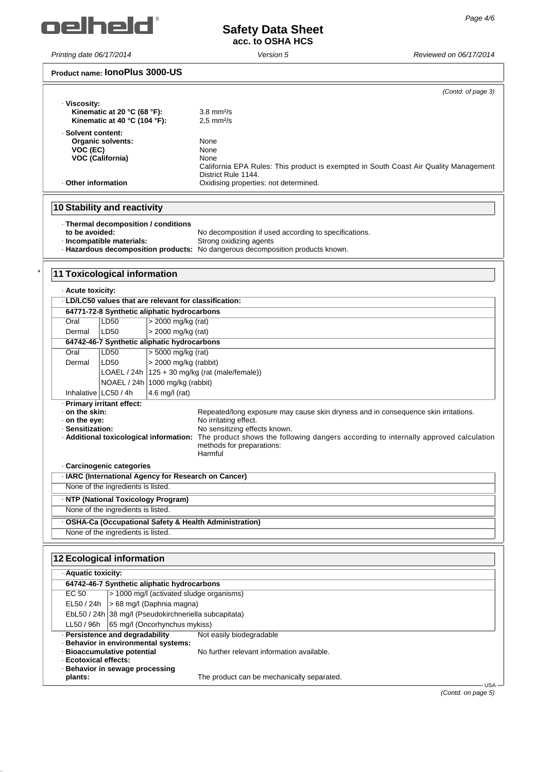

### **Safety Data Sheet acc. to OSHA HCS**

*Printing date 06/17/2014 Version 5 Reviewed on 06/17/2014*

| Product name: IONOPIUS 3000-US                                                      |                                                                                                             |
|-------------------------------------------------------------------------------------|-------------------------------------------------------------------------------------------------------------|
|                                                                                     | (Contd. of page 3)                                                                                          |
| · Viscosity:<br>Kinematic at 20 $^{\circ}$ C (68 $^{\circ}$ F):                     | $3.8$ mm $2/s$                                                                                              |
| Kinematic at 40 °C (104 °F):                                                        | $2.5$ mm $2/s$                                                                                              |
| · Solvent content:                                                                  |                                                                                                             |
| Organic solvents:                                                                   | None                                                                                                        |
| VOC (EC)<br><b>VOC (California)</b>                                                 | None<br>None                                                                                                |
|                                                                                     | California EPA Rules: This product is exempted in South Coast Air Quality Management                        |
|                                                                                     | District Rule 1144.                                                                                         |
| Other information                                                                   | Oxidising properties: not determined.                                                                       |
| <b>10 Stability and reactivity</b>                                                  |                                                                                                             |
| · Thermal decomposition / conditions                                                |                                                                                                             |
| to be avoided:                                                                      | No decomposition if used according to specifications.                                                       |
| · Incompatible materials:                                                           | Strong oxidizing agents<br>- Hazardous decomposition products: No dangerous decomposition products known.   |
|                                                                                     |                                                                                                             |
|                                                                                     |                                                                                                             |
| <b>11 Toxicological information</b>                                                 |                                                                                                             |
| · Acute toxicity:                                                                   |                                                                                                             |
| . LD/LC50 values that are relevant for classification:                              |                                                                                                             |
| 64771-72-8 Synthetic aliphatic hydrocarbons                                         |                                                                                                             |
| Oral<br>LD50<br>> 2000 mg/kg (rat)                                                  |                                                                                                             |
| > 2000 mg/kg (rat)<br>LD50<br>Dermal<br>64742-46-7 Synthetic aliphatic hydrocarbons |                                                                                                             |
| Oral<br>$> 5000$ mg/kg (rat)<br>LD50                                                |                                                                                                             |
| > 2000 mg/kg (rabbit)<br>LD50<br>Dermal                                             |                                                                                                             |
| LOAEL / 24h $ 125 + 30$ mg/kg (rat (male/female))                                   |                                                                                                             |
| NOAEL / 24h 1000 mg/kg (rabbit)                                                     |                                                                                                             |
| Inhalative   LC50 / 4h<br>4.6 mg/l (rat)                                            |                                                                                                             |
| · Primary irritant effect:                                                          |                                                                                                             |
| on the skin:<br>$\cdot$ on the eye:                                                 | Repeated/long exposure may cause skin dryness and in consequence skin irritations.<br>No irritating effect. |
| · Sensitization:                                                                    | No sensitizing effects known.                                                                               |
| Additional toxicological information:                                               | The product shows the following dangers according to internally approved calculation                        |
|                                                                                     | methods for preparations:<br>Harmful                                                                        |
| · Carcinogenic categories                                                           |                                                                                                             |
| · IARC (International Agency for Research on Cancer)                                |                                                                                                             |
| None of the ingredients is listed.                                                  |                                                                                                             |
| · NTP (National Toxicology Program)                                                 |                                                                                                             |
| None of the ingredients is listed.                                                  |                                                                                                             |
| - OSHA-Ca (Occupational Safety & Health Administration)                             |                                                                                                             |
| None of the ingredients is listed.                                                  |                                                                                                             |
|                                                                                     |                                                                                                             |
| <b>12 Ecological information</b>                                                    |                                                                                                             |
| · Aquatic toxicity:                                                                 |                                                                                                             |
| 64742-46-7 Synthetic aliphatic hydrocarbons                                         |                                                                                                             |
| > 1000 mg/l (activated sludge organisms)<br>EC 50                                   |                                                                                                             |
| > 68 mg/l (Daphnia magna)<br>EL50 / 24h                                             |                                                                                                             |
| EbL50 / 24h 38 mg/l (Pseudokirchneriella subcapitata)                               |                                                                                                             |
| LL50 / 96h<br>65 mg/l (Oncorhynchus mykiss)                                         |                                                                                                             |
| · Persistence and degradability<br>· Behavior in environmental systems:             | Not easily biodegradable                                                                                    |
| · Bioaccumulative potential                                                         | No further relevant information available.                                                                  |
| · Ecotoxical effects:                                                               |                                                                                                             |
| · Behavior in sewage processing<br>plants:                                          | The product can be mechanically separated.                                                                  |
|                                                                                     | USA-                                                                                                        |

*(Contd. on page 5)*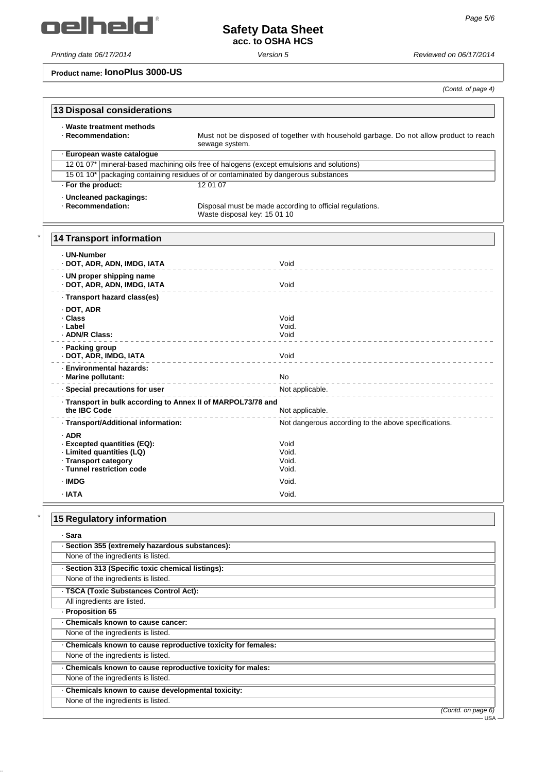oelheld'

*Printing date 06/17/2014 Version 5 Reviewed on 06/17/2014*

# **Safety Data Sheet acc. to OSHA HCS**

**Product name: IonoPlus 3000-US**

*(Contd. of page 4)*

| <b>13 Disposal considerations</b>                                                                                        |                                                                                                          |
|--------------------------------------------------------------------------------------------------------------------------|----------------------------------------------------------------------------------------------------------|
| · Waste treatment methods<br>· Recommendation:                                                                           | Must not be disposed of together with household garbage. Do not allow product to reach<br>sewage system. |
| · European waste catalogue                                                                                               |                                                                                                          |
|                                                                                                                          | 12 01 07*   mineral-based machining oils free of halogens (except emulsions and solutions)               |
|                                                                                                                          | 15 01 10* packaging containing residues of or contaminated by dangerous substances                       |
| · For the product:                                                                                                       | 12 01 07                                                                                                 |
| · Uncleaned packagings:<br>· Recommendation:                                                                             | Disposal must be made according to official regulations.<br>Waste disposal key: 15 01 10                 |
| <b>14 Transport information</b>                                                                                          |                                                                                                          |
| . UN-Number<br>· DOT, ADR, ADN, IMDG, IATA                                                                               | Void                                                                                                     |
| · UN proper shipping name<br>· DOT, ADR, ADN, IMDG, IATA                                                                 | Void                                                                                                     |
| · Transport hazard class(es)                                                                                             |                                                                                                          |
| $\cdot$ DOT, ADR<br>· Class<br>· Label<br>· ADN/R Class:                                                                 | Void<br>Void.<br>Void                                                                                    |
| · Packing group<br>· DOT, ADR, IMDG, IATA                                                                                | Void                                                                                                     |
| · Environmental hazards:<br>· Marine pollutant:                                                                          | No                                                                                                       |
| · Special precautions for user                                                                                           | Not applicable.                                                                                          |
| · Transport in bulk according to Annex II of MARPOL73/78 and<br>the IBC Code                                             | Not applicable.                                                                                          |
| · Transport/Additional information:                                                                                      | Not dangerous according to the above specifications.                                                     |
| $·$ ADR<br>· Excepted quantities (EQ):<br>· Limited quantities (LQ)<br>· Transport category<br>- Tunnel restriction code | Void<br>Void.<br>Void.<br>Void.                                                                          |
| · IMDG                                                                                                                   | Void.                                                                                                    |
| · IATA                                                                                                                   | Void.                                                                                                    |
| <b>15 Regulatory information</b>                                                                                         |                                                                                                          |
| · Sara                                                                                                                   |                                                                                                          |
| · Section 355 (extremely hazardous substances):                                                                          |                                                                                                          |
| None of the ingredients is listed.                                                                                       |                                                                                                          |
| · Section 313 (Specific toxic chemical listings):                                                                        |                                                                                                          |
| None of the ingredients is listed.                                                                                       |                                                                                                          |
| · TSCA (Toxic Substances Control Act):                                                                                   |                                                                                                          |
| All ingredients are listed.                                                                                              |                                                                                                          |
| · Proposition 65                                                                                                         |                                                                                                          |
| Chemicals known to cause cancer:                                                                                         |                                                                                                          |
| None of the ingredients is listed.                                                                                       |                                                                                                          |

| · Sara                                                      |                                  |
|-------------------------------------------------------------|----------------------------------|
| · Section 355 (extremely hazardous substances):             |                                  |
| None of the ingredients is listed.                          |                                  |
| · Section 313 (Specific toxic chemical listings):           |                                  |
| None of the ingredients is listed.                          |                                  |
| · TSCA (Toxic Substances Control Act):                      |                                  |
| All ingredients are listed.                                 |                                  |
| · Proposition 65                                            |                                  |
| Chemicals known to cause cancer:                            |                                  |
| None of the ingredients is listed.                          |                                  |
| Chemicals known to cause reproductive toxicity for females: |                                  |
| None of the ingredients is listed.                          |                                  |
| Chemicals known to cause reproductive toxicity for males:   |                                  |
| None of the ingredients is listed.                          |                                  |
| Chemicals known to cause developmental toxicity:            |                                  |
| None of the ingredients is listed.                          |                                  |
|                                                             | (Contd. on page 6)<br><b>USA</b> |